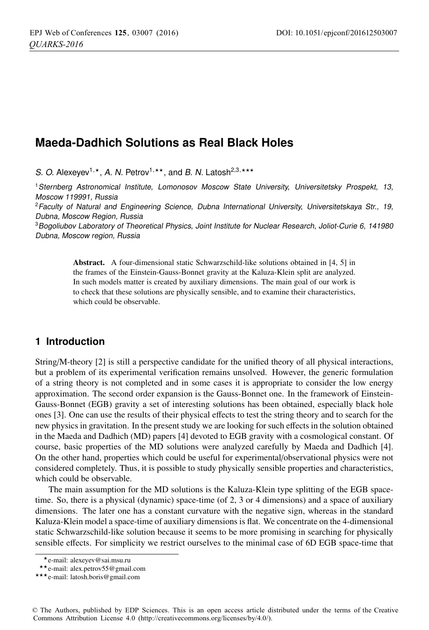# **Maeda-Dadhich Solutions as Real Black Holes**

S. O. Alexeyev<sup>1,\*</sup>, A. N. Petrov<sup>1,\*\*</sup>, and B. N. Latosh<sup>2,3,\*\*\*</sup>

<sup>1</sup>Sternberg Astronomical Institute, Lomonosov Moscow State University, Universitetsky Prospekt, 13, Moscow 119991, Russia

<sup>2</sup>Faculty of Natural and Engineering Science, Dubna International University, Universitetskaya Str., 19, Dubna, Moscow Region, Russia

<sup>3</sup>Bogoliubov Laboratory of Theoretical Physics, Joint Institute for Nuclear Research, Joliot-Curie 6, 141980 Dubna, Moscow region, Russia

> Abstract. A four-dimensional static Schwarzschild-like solutions obtained in [4, 5] in the frames of the Einstein-Gauss-Bonnet gravity at the Kaluza-Klein split are analyzed. In such models matter is created by auxiliary dimensions. The main goal of our work is to check that these solutions are physically sensible, and to examine their characteristics, which could be observable.

## **1 Introduction**

String/M-theory [2] is still a perspective candidate for the unified theory of all physical interactions, but a problem of its experimental verification remains unsolved. However, the generic formulation of a string theory is not completed and in some cases it is appropriate to consider the low energy approximation. The second order expansion is the Gauss-Bonnet one. In the framework of Einstein-Gauss-Bonnet (EGB) gravity a set of interesting solutions has been obtained, especially black hole ones [3]. One can use the results of their physical effects to test the string theory and to search for the new physics in gravitation. In the present study we are looking for such effects in the solution obtained in the Maeda and Dadhich (MD) papers [4] devoted to EGB gravity with a cosmological constant. Of course, basic properties of the MD solutions were analyzed carefully by Maeda and Dadhich [4]. On the other hand, properties which could be useful for experimental/observational physics were not considered completely. Thus, it is possible to study physically sensible properties and characteristics, which could be observable.

The main assumption for the MD solutions is the Kaluza-Klein type splitting of the EGB spacetime. So, there is a physical (dynamic) space-time (of 2, 3 or 4 dimensions) and a space of auxiliary dimensions. The later one has a constant curvature with the negative sign, whereas in the standard Kaluza-Klein model a space-time of auxiliary dimensions is flat. We concentrate on the 4-dimensional static Schwarzschild-like solution because it seems to be more promising in searching for physically sensible effects. For simplicity we restrict ourselves to the minimal case of 6D EGB space-time that

<sup>-</sup>e-mail: alexeyev@sai.msu.ru

<sup>-</sup>-e-mail: alex.petrov55@gmail.com

<sup>-</sup>--e-mail: latosh.boris@gmail.com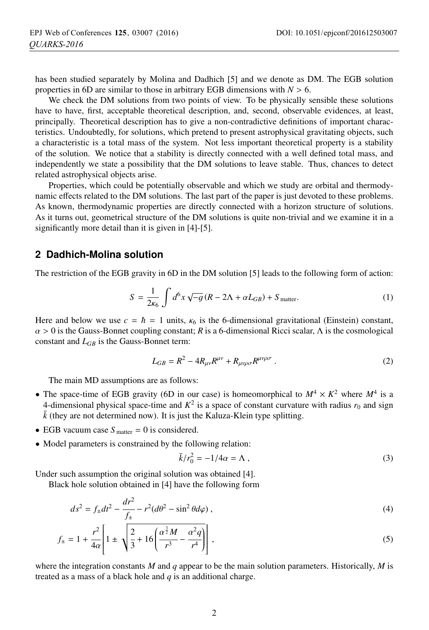has been studied separately by Molina and Dadhich [5] and we denote as DM. The EGB solution properties in 6D are similar to those in arbitrary EGB dimensions with  $N > 6$ .

We check the DM solutions from two points of view. To be physically sensible these solutions have to have, first, acceptable theoretical description, and, second, observable evidences, at least, principally. Theoretical description has to give a non-contradictive definitions of important characteristics. Undoubtedly, for solutions, which pretend to present astrophysical gravitating objects, such a characteristic is a total mass of the system. Not less important theoretical property is a stability of the solution. We notice that a stability is directly connected with a well defined total mass, and independently we state a possibility that the DM solutions to leave stable. Thus, chances to detect related astrophysical objects arise.

Properties, which could be potentially observable and which we study are orbital and thermodynamic effects related to the DM solutions. The last part of the paper is just devoted to these problems. As known, thermodynamic properties are directly connected with a horizon structure of solutions. As it turns out, geometrical structure of the DM solutions is quite non-trivial and we examine it in a significantly more detail than it is given in [4]-[5].

#### **2 Dadhich-Molina solution**

The restriction of the EGB gravity in 6D in the DM solution [5] leads to the following form of action:

$$
S = \frac{1}{2\kappa_6} \int d^6 x \sqrt{-g} (R - 2\Lambda + \alpha L_{GB}) + S_{\text{matter}}.
$$
 (1)

Here and below we use  $c = \hbar = 1$  units,  $\kappa_6$  is the 6-dimensional gravitational (Einstein) constant,  $\alpha > 0$  is the Gauss-Bonnet coupling constant; R is a 6-dimensional Ricci scalar. A is the cosmological  $\alpha > 0$  is the Gauss-Bonnet coupling constant; *R* is a 6-dimensional Ricci scalar,  $\Lambda$  is the cosmological constant and *LGB* is the Gauss-Bonnet term:

$$
L_{GB} = R^2 - 4R_{\mu\nu}R^{\mu\nu} + R_{\mu\nu\rho\sigma}R^{\mu\nu\rho\sigma} \tag{2}
$$

The main MD assumptions are as follows:

- The space-time of EGB gravity (6D in our case) is homeomorphical to  $M^4 \times K^2$  where  $M^4$  is a 4-dimensional physical space-time and  $K^2$  is a space of constant curvature with radius  $r_0$  and sign  $\bar{k}$  (they are not determined now). It is just the Kaluza-Klein type splitting.
- EGB vacuum case  $S_{\text{matter}} = 0$  is considered.
- Model parameters is constrained by the following relation:

$$
\bar{k}/r_0^2 = -1/4\alpha = \Lambda \,,\tag{3}
$$

Under such assumption the original solution was obtained [4].

Black hole solution obtained in [4] have the following form

$$
ds^{2} = f_{\pm}dt^{2} - \frac{dr^{2}}{f_{\pm}} - r^{2}(d\theta^{2} - \sin^{2}\theta d\varphi) ,
$$
 (4)

$$
f_{\pm} = 1 + \frac{r^2}{4\alpha} \left[ 1 \pm \sqrt{\frac{2}{3} + 16 \left( \frac{\alpha^{\frac{3}{2}}M}{r^3} - \frac{\alpha^2 q}{r^4} \right)} \right],
$$
 (5)

where the integration constants *M* and *q* appear to be the main solution parameters. Historically, *M* is treated as a mass of a black hole and *q* is an additional charge.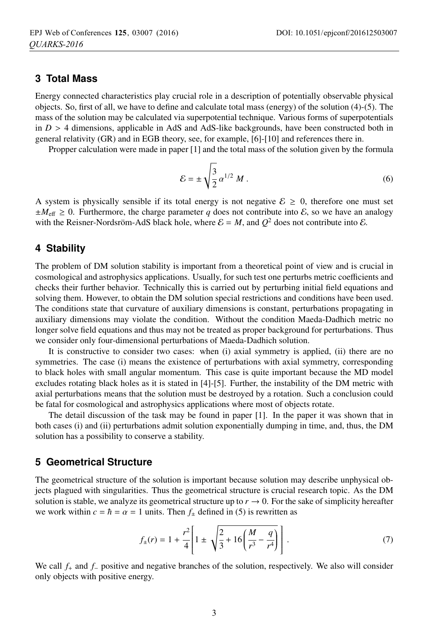## **3 Total Mass**

Energy connected characteristics play crucial role in a description of potentially observable physical objects. So, first of all, we have to define and calculate total mass (energy) of the solution (4)-(5). The mass of the solution may be calculated via superpotential technique. Various forms of superpotentials in  $D > 4$  dimensions, applicable in AdS and AdS-like backgrounds, have been constructed both in general relativity (GR) and in EGB theory, see, for example, [6]-[10] and references there in.

Propper calculation were made in paper [1] and the total mass of the solution given by the formula

$$
\mathcal{E} = \pm \sqrt{\frac{3}{2}} \alpha^{1/2} M. \tag{6}
$$

A system is physically sensible if its total energy is not negative  $\mathcal{E} \geq 0$ , therefore one must set  $\pm M_{\text{eff}} \ge 0$ . Furthermore, the charge parameter *q* does not contribute into *E*, so we have an analogy with the Reisner-Nordsröm-AdS black hole, where  $\mathcal{E} = M$ , and  $Q^2$  does not contribute into  $\mathcal{E}$ .

#### **4 Stability**

The problem of DM solution stability is important from a theoretical point of view and is crucial in cosmological and astrophysics applications. Usually, for such test one perturbs metric coefficients and checks their further behavior. Technically this is carried out by perturbing initial field equations and solving them. However, to obtain the DM solution special restrictions and conditions have been used. The conditions state that curvature of auxiliary dimensions is constant, perturbations propagating in auxiliary dimensions may violate the condition. Without the condition Maeda-Dadhich metric no longer solve field equations and thus may not be treated as proper background for perturbations. Thus we consider only four-dimensional perturbations of Maeda-Dadhich solution.

It is constructive to consider two cases: when (i) axial symmetry is applied, (ii) there are no symmetries. The case (i) means the existence of perturbations with axial symmetry, corresponding to black holes with small angular momentum. This case is quite important because the MD model excludes rotating black holes as it is stated in [4]-[5]. Further, the instability of the DM metric with axial perturbations means that the solution must be destroyed by a rotation. Such a conclusion could be fatal for cosmological and astrophysics applications where most of objects rotate.

The detail discussion of the task may be found in paper [1]. In the paper it was shown that in both cases (i) and (ii) perturbations admit solution exponentially dumping in time, and, thus, the DM solution has a possibility to conserve a stability.

#### **5 Geometrical Structure**

The geometrical structure of the solution is important because solution may describe unphysical objects plagued with singularities. Thus the geometrical structure is crucial research topic. As the DM solution is stable, we analyze its geometrical structure up to  $r \to 0$ . For the sake of simplicity hereafter we work within  $c = \hbar = \alpha = 1$  units. Then  $f_{\pm}$  defined in (5) is rewritten as

$$
f_{\pm}(r) = 1 + \frac{r^2}{4} \left[ 1 \pm \sqrt{\frac{2}{3} + 16 \left( \frac{M}{r^3} - \frac{q}{r^4} \right)} \right].
$$
 (7)

We call *<sup>f</sup>*<sup>+</sup> and *<sup>f</sup>*<sup>−</sup> positive and negative branches of the solution, respectively. We also will consider only objects with positive energy.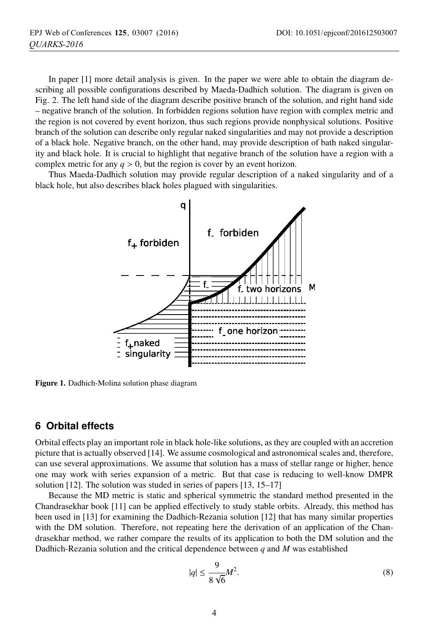In paper [1] more detail analysis is given. In the paper we were able to obtain the diagram describing all possible configurations described by Maeda-Dadhich solution. The diagram is given on Fig. 2. The left hand side of the diagram describe positive branch of the solution, and right hand side – negative branch of the solution. In forbidden regions solution have region with complex metric and the region is not covered by event horizon, thus such regions provide nonphysical solutions. Positive branch of the solution can describe only regular naked singularities and may not provide a description of a black hole. Negative branch, on the other hand, may provide description of bath naked singularity and black hole. It is crucial to highlight that negative branch of the solution have a region with a complex metric for any  $q > 0$ , but the region is cover by an event horizon.

Thus Maeda-Dadhich solution may provide regular description of a naked singularity and of a black hole, but also describes black holes plagued with singularities.



Figure 1. Dadhich-Molina solution phase diagram

### **6 Orbital effects**

Orbital effects play an important role in black hole-like solutions, as they are coupled with an accretion picture that is actually observed [14]. We assume cosmological and astronomical scales and, therefore, can use several approximations. We assume that solution has a mass of stellar range or higher, hence one may work with series expansion of a metric. But that case is reducing to well-know DMPR solution [12]. The solution was studed in series of papers [13, 15–17]

Because the MD metric is static and spherical symmetric the standard method presented in the Chandrasekhar book [11] can be applied effectively to study stable orbits. Already, this method has been used in [13] for examining the Dadhich-Rezania solution [12] that has many similar properties with the DM solution. Therefore, not repeating here the derivation of an application of the Chandrasekhar method, we rather compare the results of its application to both the DM solution and the Dadhich-Rezania solution and the critical dependence between *q* and *M* was established

$$
|q| \le \frac{9}{8\sqrt{6}} M^2. \tag{8}
$$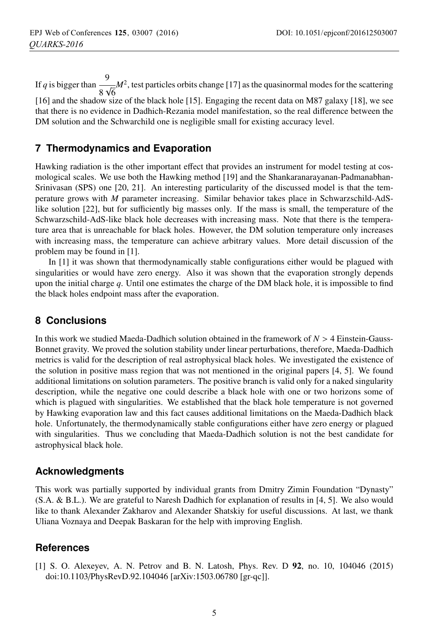If *q* is bigger than  $\frac{9}{2}$  $\overline{8\sqrt{6}}$  $M^2$ , test particles orbits change [17] as the quasinormal modes for the scattering [16] and the shadow size of the black hole [15]. Engaging the recent data on M87 galaxy [18], we see that there is no evidence in Dadhich-Rezania model manifestation, so the real difference between the DM solution and the Schwarchild one is negligible small for existing accuracy level.

# **7 Thermodynamics and Evaporation**

Hawking radiation is the other important effect that provides an instrument for model testing at cosmological scales. We use both the Hawking method [19] and the Shankaranarayanan-Padmanabhan-Srinivasan (SPS) one [20, 21]. An interesting particularity of the discussed model is that the temperature grows with *M* parameter increasing. Similar behavior takes place in Schwarzschild-AdSlike solution [22], but for sufficiently big masses only. If the mass is small, the temperature of the Schwarzschild-AdS-like black hole decreases with increasing mass. Note that there is the temperature area that is unreachable for black holes. However, the DM solution temperature only increases with increasing mass, the temperature can achieve arbitrary values. More detail discussion of the problem may be found in [1].

In [1] it was shown that thermodynamically stable configurations either would be plagued with singularities or would have zero energy. Also it was shown that the evaporation strongly depends upon the initial charge *q*. Until one estimates the charge of the DM black hole, it is impossible to find the black holes endpoint mass after the evaporation.

# **8 Conclusions**

In this work we studied Maeda-Dadhich solution obtained in the framework of *<sup>N</sup>* > 4 Einstein-Gauss-Bonnet gravity. We proved the solution stability under linear perturbations, therefore, Maeda-Dadhich metrics is valid for the description of real astrophysical black holes. We investigated the existence of the solution in positive mass region that was not mentioned in the original papers [4, 5]. We found additional limitations on solution parameters. The positive branch is valid only for a naked singularity description, while the negative one could describe a black hole with one or two horizons some of which is plagued with singularities. We established that the black hole temperature is not governed by Hawking evaporation law and this fact causes additional limitations on the Maeda-Dadhich black hole. Unfortunately, the thermodynamically stable configurations either have zero energy or plagued with singularities. Thus we concluding that Maeda-Dadhich solution is not the best candidate for astrophysical black hole.

# **Acknowledgments**

This work was partially supported by individual grants from Dmitry Zimin Foundation "Dynasty" (S.A. & B.L.). We are grateful to Naresh Dadhich for explanation of results in [4, 5]. We also would like to thank Alexander Zakharov and Alexander Shatskiy for useful discussions. At last, we thank Uliana Voznaya and Deepak Baskaran for the help with improving English.

# **References**

[1] S. O. Alexeyev, A. N. Petrov and B. N. Latosh, Phys. Rev. D 92, no. 10, 104046 (2015) doi:10.1103/PhysRevD.92.104046 [arXiv:1503.06780 [gr-qc]].